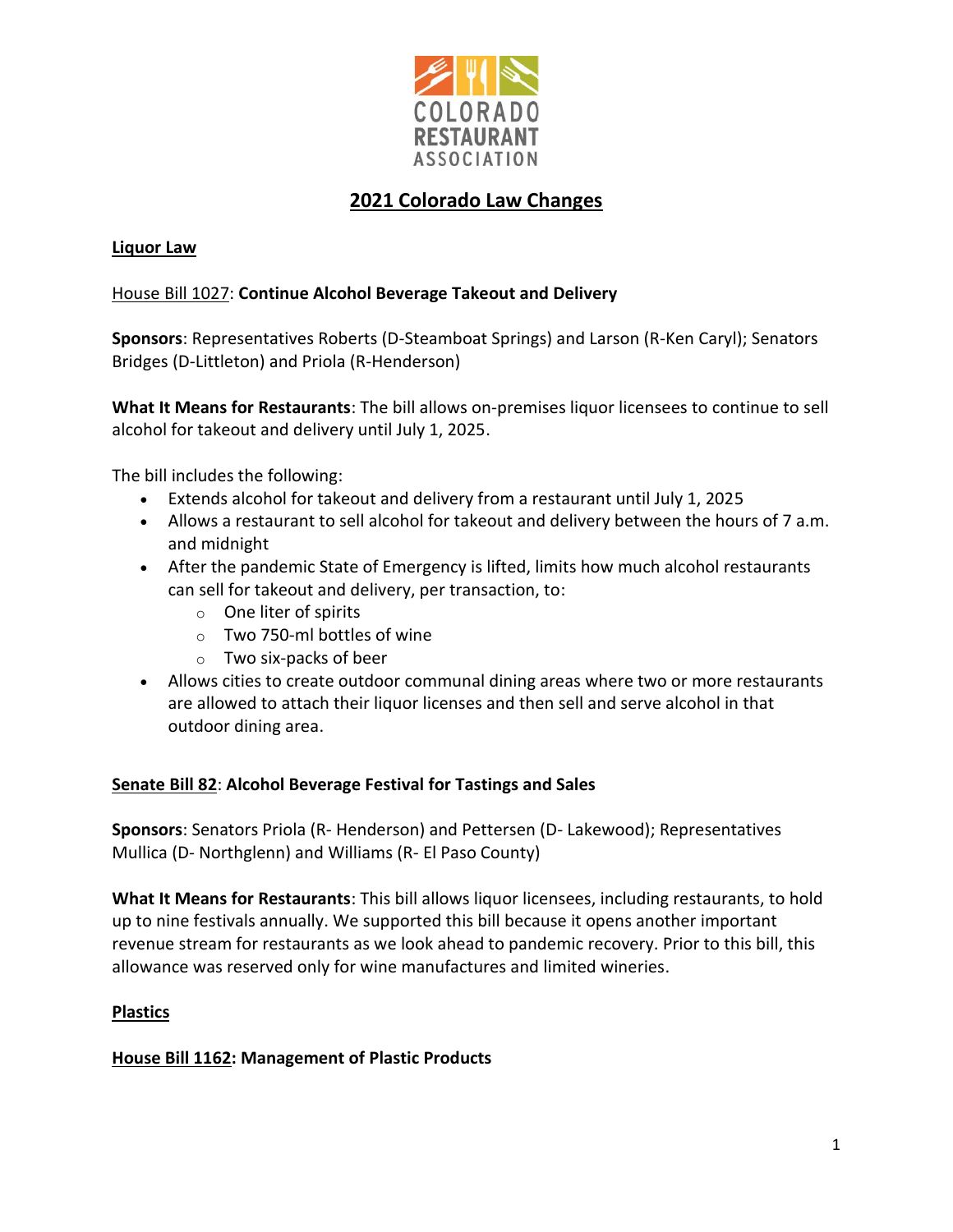

# **2021 Colorado Law Changes**

# **Liquor Law**

# [House Bill 1027:](http://leg.colorado.gov/bills/hb21-1027) **Continue Alcohol Beverage Takeout and Delivery**

**Sponsors**: Representatives Roberts (D-Steamboat Springs) and Larson (R-Ken Caryl); Senators Bridges (D-Littleton) and Priola (R-Henderson)

**What It Means for Restaurants**: The bill allows on-premises liquor licensees to continue to sell alcohol for takeout and delivery until July 1, 2025.

The bill includes the following:

- Extends alcohol for takeout and delivery from a restaurant until July 1, 2025
- Allows a restaurant to sell alcohol for takeout and delivery between the hours of 7 a.m. and midnight
- After the pandemic State of Emergency is lifted, limits how much alcohol restaurants can sell for takeout and delivery, per transaction, to:
	- o One liter of spirits
	- o Two 750-ml bottles of wine
	- o Two six-packs of beer
- Allows cities to create outdoor communal dining areas where two or more restaurants are allowed to attach their liquor licenses and then sell and serve alcohol in that outdoor dining area.

# **[Senate Bill 82](https://leg.colorado.gov/bills/sb21-082)**: **Alcohol Beverage Festival for Tastings and Sales**

**Sponsors**: Senators Priola (R- Henderson) and Pettersen (D- Lakewood); Representatives Mullica (D- Northglenn) and Williams (R- El Paso County)

**What It Means for Restaurants**: This bill allows liquor licensees, including restaurants, to hold up to nine festivals annually. We supported this bill because it opens another important revenue stream for restaurants as we look ahead to pandemic recovery. Prior to this bill, this allowance was reserved only for wine manufactures and limited wineries.

# **Plastics**

**[House Bill 1162:](https://leg.colorado.gov/bills/hb21-1162) Management of Plastic Products**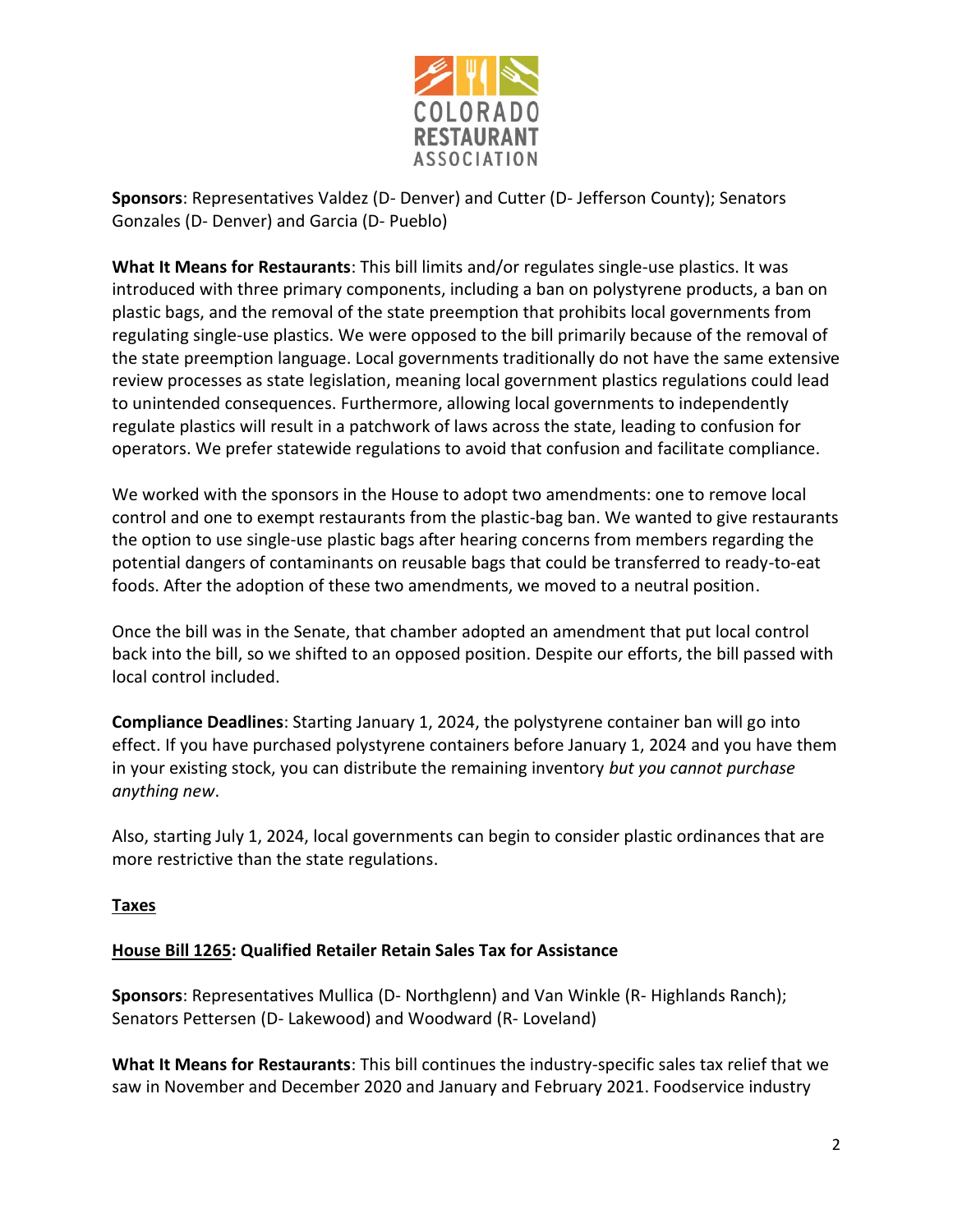

**Sponsors**: Representatives Valdez (D- Denver) and Cutter (D- Jefferson County); Senators Gonzales (D- Denver) and Garcia (D- Pueblo)

**What It Means for Restaurants**: This bill limits and/or regulates single-use plastics. It was introduced with three primary components, including a ban on polystyrene products, a ban on plastic bags, and the removal of the state preemption that prohibits local governments from regulating single-use plastics. We were opposed to the bill primarily because of the removal of the state preemption language. Local governments traditionally do not have the same extensive review processes as state legislation, meaning local government plastics regulations could lead to unintended consequences. Furthermore, allowing local governments to independently regulate plastics will result in a patchwork of laws across the state, leading to confusion for operators. We prefer statewide regulations to avoid that confusion and facilitate compliance.

We worked with the sponsors in the House to adopt two amendments: one to remove local control and one to exempt restaurants from the plastic-bag ban. We wanted to give restaurants the option to use single-use plastic bags after hearing concerns from members regarding the potential dangers of contaminants on reusable bags that could be transferred to ready-to-eat foods. After the adoption of these two amendments, we moved to a neutral position.

Once the bill was in the Senate, that chamber adopted an amendment that put local control back into the bill, so we shifted to an opposed position. Despite our efforts, the bill passed with local control included.

**Compliance Deadlines**: Starting January 1, 2024, the polystyrene container ban will go into effect. If you have purchased polystyrene containers before January 1, 2024 and you have them in your existing stock, you can distribute the remaining inventory *but you cannot purchase anything new*.

Also, starting July 1, 2024, local governments can begin to consider plastic ordinances that are more restrictive than the state regulations.

# **Taxes**

# **[House Bill 1265:](https://leg.colorado.gov/bills/hb21-1265) Qualified Retailer Retain Sales Tax for Assistance**

**Sponsors**: Representatives Mullica (D- Northglenn) and Van Winkle (R- Highlands Ranch); Senators Pettersen (D- Lakewood) and Woodward (R- Loveland)

**What It Means for Restaurants**: This bill continues the industry-specific sales tax relief that we saw in November and December 2020 and January and February 2021. Foodservice industry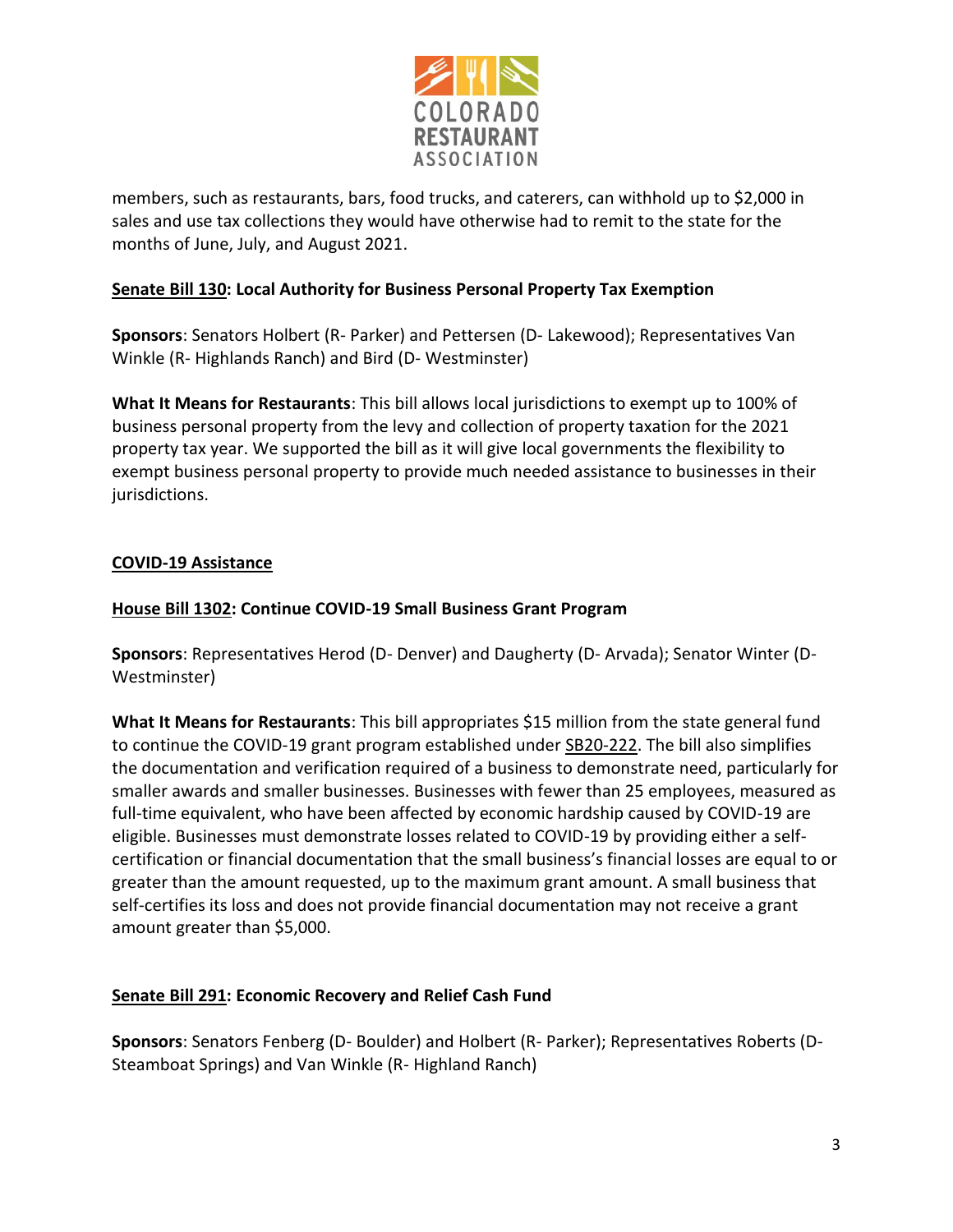

members, such as restaurants, bars, food trucks, and caterers, can withhold up to \$2,000 in sales and use tax collections they would have otherwise had to remit to the state for the months of June, July, and August 2021.

# **[Senate Bill 130:](https://leg.colorado.gov/bills/sb21-130) Local Authority for Business Personal Property Tax Exemption**

**Sponsors**: Senators Holbert (R- Parker) and Pettersen (D- Lakewood); Representatives Van Winkle (R- Highlands Ranch) and Bird (D- Westminster)

**What It Means for Restaurants**: This bill allows local jurisdictions to exempt up to 100% of business personal property from the levy and collection of property taxation for the 2021 property tax year. We supported the bill as it will give local governments the flexibility to exempt business personal property to provide much needed assistance to businesses in their jurisdictions.

# **COVID-19 Assistance**

# **[House Bill 1302:](https://leg.colorado.gov/bills/hb21-1302) Continue COVID-19 Small Business Grant Program**

**Sponsors**: Representatives Herod (D- Denver) and Daugherty (D- Arvada); Senator Winter (D-Westminster)

**What It Means for Restaurants**: This bill appropriates \$15 million from the state general fund to continue the COVID-19 grant program established under [SB20-222.](https://leg.colorado.gov/bills/sb20-222) The bill also simplifies the documentation and verification required of a business to demonstrate need, particularly for smaller awards and smaller businesses. Businesses with fewer than 25 employees, measured as full-time equivalent, who have been affected by economic hardship caused by COVID-19 are eligible. Businesses must demonstrate losses related to COVID-19 by providing either a selfcertification or financial documentation that the small business's financial losses are equal to or greater than the amount requested, up to the maximum grant amount. A small business that self-certifies its loss and does not provide financial documentation may not receive a grant amount greater than \$5,000.

# **[Senate Bill 291:](https://leg.colorado.gov/bills/sb21-291) Economic Recovery and Relief Cash Fund**

**Sponsors**: Senators Fenberg (D- Boulder) and Holbert (R- Parker); Representatives Roberts (D-Steamboat Springs) and Van Winkle (R- Highland Ranch)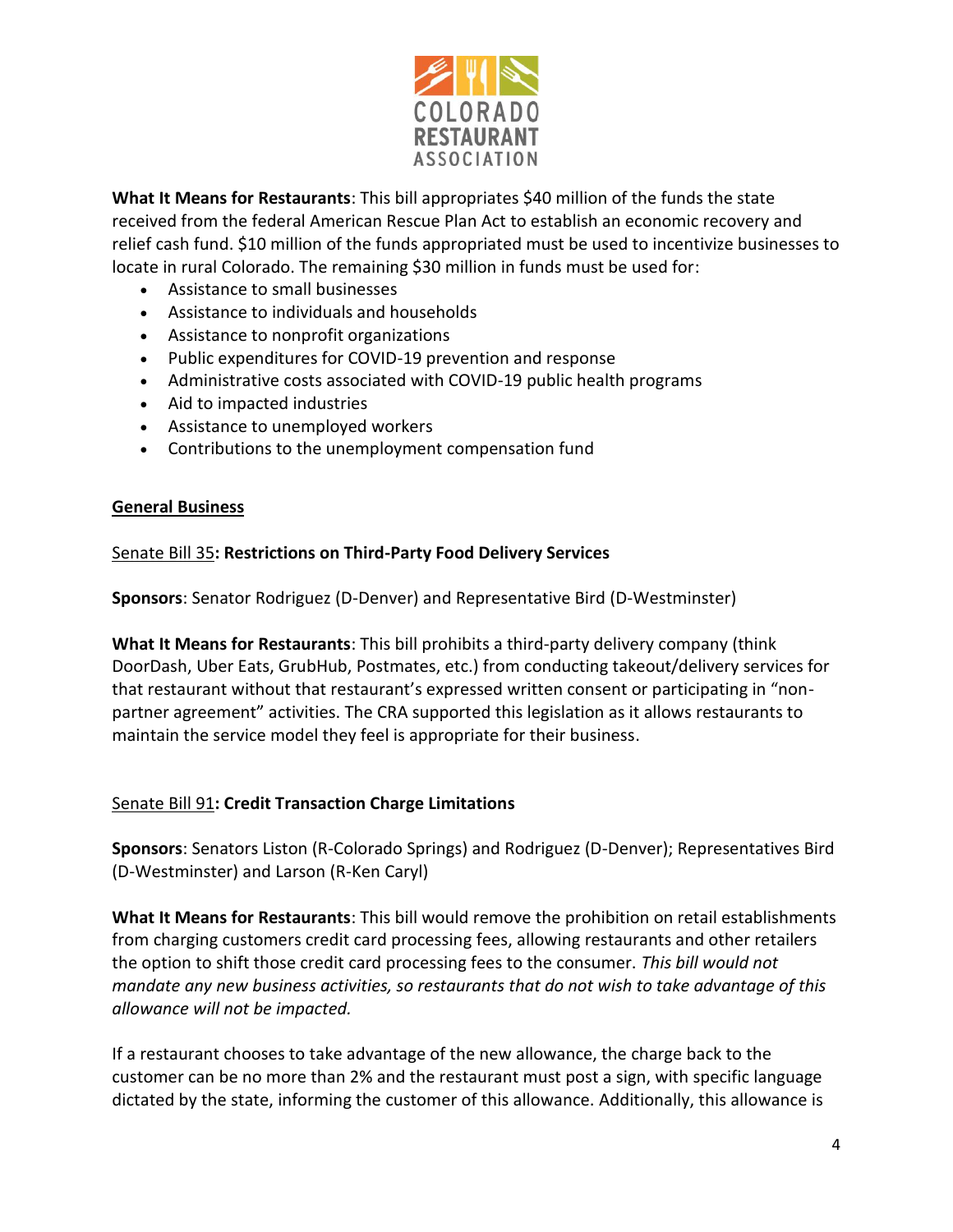

**What It Means for Restaurants**: This bill appropriates \$40 million of the funds the state received from the federal American Rescue Plan Act to establish an economic recovery and relief cash fund. \$10 million of the funds appropriated must be used to incentivize businesses to locate in rural Colorado. The remaining \$30 million in funds must be used for:

- Assistance to small businesses
- Assistance to individuals and households
- Assistance to nonprofit organizations
- Public expenditures for COVID-19 prevention and response
- Administrative costs associated with COVID-19 public health programs
- Aid to impacted industries
- Assistance to unemployed workers
- Contributions to the unemployment compensation fund

#### **General Business**

#### [Senate Bill 35](http://leg.colorado.gov/bills/sb21-035)**: Restrictions on Third-Party Food Delivery Services**

**Sponsors**: Senator Rodriguez (D-Denver) and Representative Bird (D-Westminster)

**What It Means for Restaurants**: This bill prohibits a third-party delivery company (think DoorDash, Uber Eats, GrubHub, Postmates, etc.) from conducting takeout/delivery services for that restaurant without that restaurant's expressed written consent or participating in "nonpartner agreement" activities. The CRA supported this legislation as it allows restaurants to maintain the service model they feel is appropriate for their business.

# [Senate Bill 91](http://leg.colorado.gov/bills/sb21-091)**: Credit Transaction Charge Limitations**

**Sponsors**: Senators Liston (R-Colorado Springs) and Rodriguez (D-Denver); Representatives Bird (D-Westminster) and Larson (R-Ken Caryl)

**What It Means for Restaurants**: This bill would remove the prohibition on retail establishments from charging customers credit card processing fees, allowing restaurants and other retailers the option to shift those credit card processing fees to the consumer. *This bill would not mandate any new business activities, so restaurants that do not wish to take advantage of this allowance will not be impacted.*

If a restaurant chooses to take advantage of the new allowance, the charge back to the customer can be no more than 2% and the restaurant must post a sign, with specific language dictated by the state, informing the customer of this allowance. Additionally, this allowance is